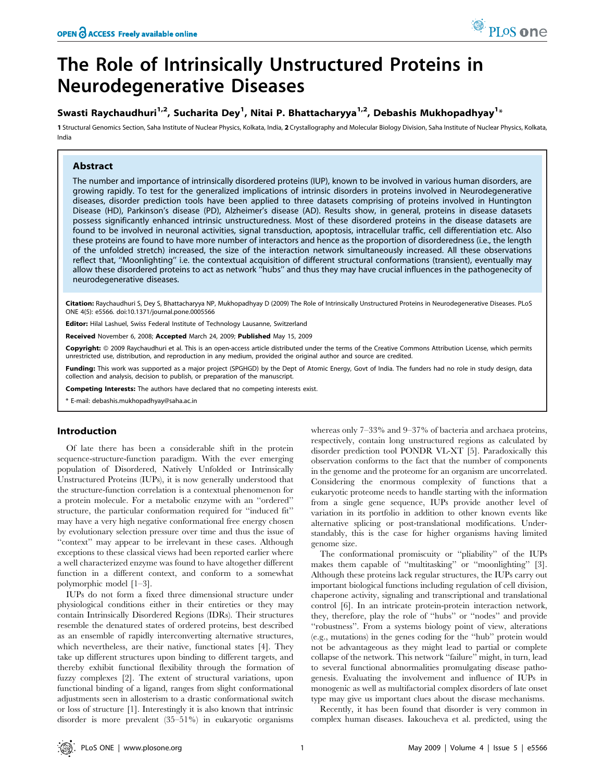# The Role of Intrinsically Unstructured Proteins in Neurodegenerative Diseases

# Swasti Raychaudhuri $^{1,2}$ , Sucharita Dey $^{1}$ , Nitai P. Bhattacharyya $^{1,2}$ , Debashis Mukhopadhyay $^{1\ast}$

1 Structural Genomics Section, Saha Institute of Nuclear Physics, Kolkata, India, 2 Crystallography and Molecular Biology Division, Saha Institute of Nuclear Physics, Kolkata, India

# Abstract

The number and importance of intrinsically disordered proteins (IUP), known to be involved in various human disorders, are growing rapidly. To test for the generalized implications of intrinsic disorders in proteins involved in Neurodegenerative diseases, disorder prediction tools have been applied to three datasets comprising of proteins involved in Huntington Disease (HD), Parkinson's disease (PD), Alzheimer's disease (AD). Results show, in general, proteins in disease datasets possess significantly enhanced intrinsic unstructuredness. Most of these disordered proteins in the disease datasets are found to be involved in neuronal activities, signal transduction, apoptosis, intracellular traffic, cell differentiation etc. Also these proteins are found to have more number of interactors and hence as the proportion of disorderedness (i.e., the length of the unfolded stretch) increased, the size of the interaction network simultaneously increased. All these observations reflect that, ''Moonlighting'' i.e. the contextual acquisition of different structural conformations (transient), eventually may allow these disordered proteins to act as network ''hubs'' and thus they may have crucial influences in the pathogenecity of neurodegenerative diseases.

Citation: Raychaudhuri S, Dey S, Bhattacharyya NP, Mukhopadhyay D (2009) The Role of Intrinsically Unstructured Proteins in Neurodegenerative Diseases. PLoS ONE 4(5): e5566. doi:10.1371/journal.pone.0005566

Editor: Hilal Lashuel, Swiss Federal Institute of Technology Lausanne, Switzerland

Received November 6, 2008; Accepted March 24, 2009; Published May 15, 2009

Copyright: @ 2009 Raychaudhuri et al. This is an open-access article distributed under the terms of the Creative Commons Attribution License, which permits unrestricted use, distribution, and reproduction in any medium, provided the original author and source are credited.

Funding: This work was supported as a major project (SPGHGD) by the Dept of Atomic Energy, Govt of India. The funders had no role in study design, data collection and analysis, decision to publish, or preparation of the manuscript.

Competing Interests: The authors have declared that no competing interests exist.

\* E-mail: debashis.mukhopadhyay@saha.ac.in

### Introduction

Of late there has been a considerable shift in the protein sequence-structure-function paradigm. With the ever emerging population of Disordered, Natively Unfolded or Intrinsically Unstructured Proteins (IUPs), it is now generally understood that the structure-function correlation is a contextual phenomenon for a protein molecule. For a metabolic enzyme with an ''ordered'' structure, the particular conformation required for ''induced fit'' may have a very high negative conformational free energy chosen by evolutionary selection pressure over time and thus the issue of "context" may appear to be irrelevant in these cases. Although exceptions to these classical views had been reported earlier where a well characterized enzyme was found to have altogether different function in a different context, and conform to a somewhat polymorphic model [1–3].

IUPs do not form a fixed three dimensional structure under physiological conditions either in their entireties or they may contain Intrinsically Disordered Regions (IDRs). Their structures resemble the denatured states of ordered proteins, best described as an ensemble of rapidly interconverting alternative structures, which nevertheless, are their native, functional states [4]. They take up different structures upon binding to different targets, and thereby exhibit functional flexibility through the formation of fuzzy complexes [2]. The extent of structural variations, upon functional binding of a ligand, ranges from slight conformational adjustments seen in allosterism to a drastic conformational switch or loss of structure [1]. Interestingly it is also known that intrinsic disorder is more prevalent (35–51%) in eukaryotic organisms whereas only 7–33% and 9–37% of bacteria and archaea proteins, respectively, contain long unstructured regions as calculated by disorder prediction tool PONDR VL-XT [5]. Paradoxically this observation conforms to the fact that the number of components in the genome and the proteome for an organism are uncorrelated. Considering the enormous complexity of functions that a eukaryotic proteome needs to handle starting with the information from a single gene sequence, IUPs provide another level of variation in its portfolio in addition to other known events like alternative splicing or post-translational modifications. Understandably, this is the case for higher organisms having limited genome size.

The conformational promiscuity or ''pliability'' of the IUPs makes them capable of ''multitasking'' or ''moonlighting'' [3]. Although these proteins lack regular structures, the IUPs carry out important biological functions including regulation of cell division, chaperone activity, signaling and transcriptional and translational control [6]. In an intricate protein-protein interaction network, they, therefore, play the role of ''hubs'' or ''nodes'' and provide ''robustness''. From a systems biology point of view, alterations (e.g., mutations) in the genes coding for the ''hub'' protein would not be advantageous as they might lead to partial or complete collapse of the network. This network ''failure'' might, in turn, lead to several functional abnormalities promulgating disease pathogenesis. Evaluating the involvement and influence of IUPs in monogenic as well as multifactorial complex disorders of late onset type may give us important clues about the disease mechanisms.

Recently, it has been found that disorder is very common in complex human diseases. Iakoucheva et al. predicted, using the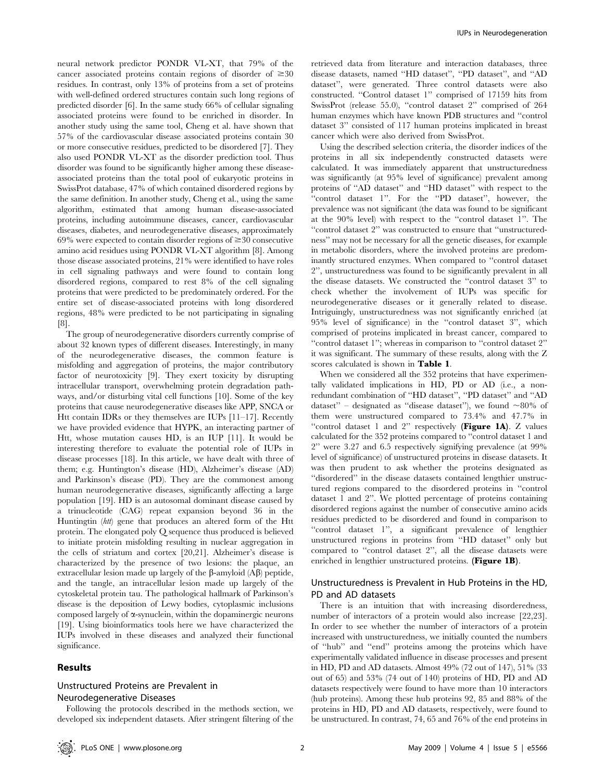neural network predictor PONDR VL-XT, that 79% of the cancer associated proteins contain regions of disorder of  $\geq 30$ residues. In contrast, only 13% of proteins from a set of proteins with well-defined ordered structures contain such long regions of predicted disorder [6]. In the same study 66% of cellular signaling associated proteins were found to be enriched in disorder. In another study using the same tool, Cheng et al. have shown that 57% of the cardiovascular disease associated proteins contain 30 or more consecutive residues, predicted to be disordered [7]. They also used PONDR VL-XT as the disorder prediction tool. Thus disorder was found to be significantly higher among these diseaseassociated proteins than the total pool of eukaryotic proteins in SwissProt database, 47% of which contained disordered regions by the same definition. In another study, Cheng et al., using the same algorithm, estimated that among human disease-associated proteins, including autoimmune diseases, cancer, cardiovascular diseases, diabetes, and neurodegenerative diseases, approximately 69% were expected to contain disorder regions of  $\geq 30$  consecutive amino acid residues using PONDR VL-XT algorithm [8]. Among those disease associated proteins, 21% were identified to have roles in cell signaling pathways and were found to contain long disordered regions, compared to rest 8% of the cell signaling proteins that were predicted to be predominately ordered. For the entire set of disease-associated proteins with long disordered regions, 48% were predicted to be not participating in signaling [8].

The group of neurodegenerative disorders currently comprise of about 32 known types of different diseases. Interestingly, in many of the neurodegenerative diseases, the common feature is misfolding and aggregation of proteins, the major contributory factor of neurotoxicity [9]. They exert toxicity by disrupting intracellular transport, overwhelming protein degradation pathways, and/or disturbing vital cell functions [10]. Some of the key proteins that cause neurodegenerative diseases like APP, SNCA or Htt contain IDRs or they themselves are IUPs [11–17]. Recently we have provided evidence that HYPK, an interacting partner of Htt, whose mutation causes HD, is an IUP [11]. It would be interesting therefore to evaluate the potential role of IUPs in disease processes [18]. In this article, we have dealt with three of them; e.g. Huntington's disease (HD), Alzheimer's disease (AD) and Parkinson's disease (PD). They are the commonest among human neurodegenerative diseases, significantly affecting a large population [19]. HD is an autosomal dominant disease caused by a trinucleotide (CAG) repeat expansion beyond 36 in the Huntingtin (htt) gene that produces an altered form of the Htt protein. The elongated poly Q sequence thus produced is believed to initiate protein misfolding resulting in nuclear aggregation in the cells of striatum and cortex [20,21]. Alzheimer's disease is characterized by the presence of two lesions: the plaque, an extracellular lesion made up largely of the  $\beta$ -amyloid (A $\beta$ ) peptide, and the tangle, an intracellular lesion made up largely of the cytoskeletal protein tau. The pathological hallmark of Parkinson's disease is the deposition of Lewy bodies, cytoplasmic inclusions composed largely of  $\alpha$ -synuclein, within the dopaminergic neurons [19]. Using bioinformatics tools here we have characterized the IUPs involved in these diseases and analyzed their functional significance.

#### Results

# Unstructured Proteins are Prevalent in Neurodegenerative Diseases

Following the protocols described in the methods section, we developed six independent datasets. After stringent filtering of the retrieved data from literature and interaction databases, three disease datasets, named ''HD dataset'', ''PD dataset'', and ''AD dataset'', were generated. Three control datasets were also constructed. "Control dataset 1" comprised of 17159 hits from SwissProt (release 55.0), ''control dataset 2'' comprised of 264 human enzymes which have known PDB structures and ''control dataset 3'' consisted of 117 human proteins implicated in breast cancer which were also derived from SwissProt.

Using the described selection criteria, the disorder indices of the proteins in all six independently constructed datasets were calculated. It was immediately apparent that unstructuredness was significantly (at 95% level of significance) prevalent among proteins of ''AD dataset'' and ''HD dataset'' with respect to the "control dataset 1". For the "PD dataset", however, the prevalence was not significant (the data was found to be significant at the 90% level) with respect to the ''control dataset 1''. The ''control dataset 2'' was constructed to ensure that ''unstructuredness'' may not be necessary for all the genetic diseases, for example in metabolic disorders, where the involved proteins are predominantly structured enzymes. When compared to ''control dataset 2'', unstructuredness was found to be significantly prevalent in all the disease datasets. We constructed the ''control dataset 3'' to check whether the involvement of IUPs was specific for neurodegenerative diseases or it generally related to disease. Intriguingly, unstructuredness was not significantly enriched (at 95% level of significance) in the ''control dataset 3'', which comprised of proteins implicated in breast cancer, compared to ''control dataset 1''; whereas in comparison to ''control dataset 2'' it was significant. The summary of these results, along with the Z scores calculated is shown in Table 1.

When we considered all the 352 proteins that have experimentally validated implications in HD, PD or AD (i.e., a nonredundant combination of ''HD dataset'', ''PD dataset'' and ''AD dataset" – designated as "disease dataset"), we found  $\sim80\%$  of them were unstructured compared to 73.4% and 47.7% in "control dataset 1 and 2" respectively (Figure 1A). Z values calculated for the 352 proteins compared to ''control dataset 1 and 2'' were 3.27 and 6.5 respectively signifying prevalence (at 99% level of significance) of unstructured proteins in disease datasets. It was then prudent to ask whether the proteins designated as ''disordered'' in the disease datasets contained lengthier unstructured regions compared to the disordered proteins in ''control dataset 1 and 2''. We plotted percentage of proteins containing disordered regions against the number of consecutive amino acids residues predicted to be disordered and found in comparison to ''control dataset 1'', a significant prevalence of lengthier unstructured regions in proteins from ''HD dataset'' only but compared to ''control dataset 2'', all the disease datasets were enriched in lengthier unstructured proteins. (Figure 1B).

# Unstructuredness is Prevalent in Hub Proteins in the HD, PD and AD datasets

There is an intuition that with increasing disorderedness, number of interactors of a protein would also increase [22,23]. In order to see whether the number of interactors of a protein increased with unstructuredness, we initially counted the numbers of ''hub'' and ''end'' proteins among the proteins which have experimentally validated influence in disease processes and present in HD, PD and AD datasets. Almost 49% (72 out of 147), 51% (33 out of 65) and 53% (74 out of 140) proteins of HD, PD and AD datasets respectively were found to have more than 10 interactors (hub proteins). Among these hub proteins 92, 85 and 88% of the proteins in HD, PD and AD datasets, respectively, were found to be unstructured. In contrast, 74, 65 and 76% of the end proteins in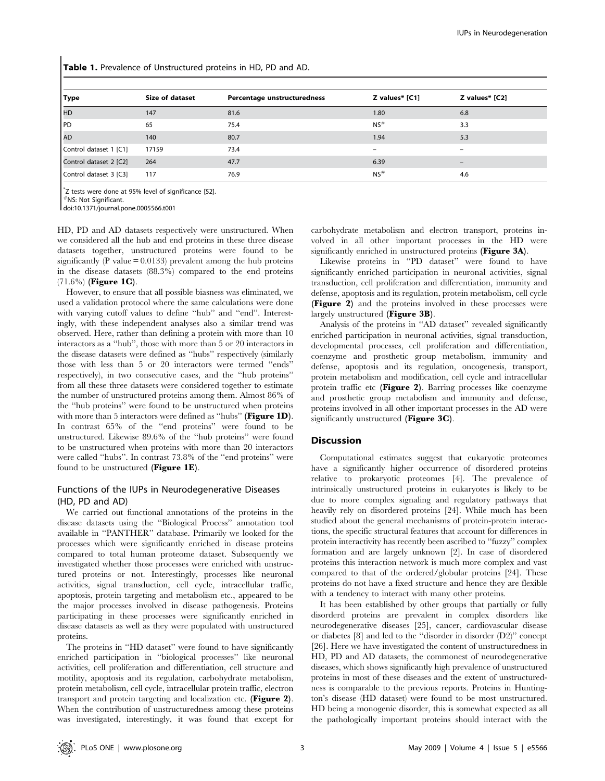Table 1. Prevalence of Unstructured proteins in HD, PD and AD.

| <b>Type</b>            | <b>Size of dataset</b> | Percentage unstructuredness | Z values* [C1]    | Z values* [C2]           |
|------------------------|------------------------|-----------------------------|-------------------|--------------------------|
| HD                     | 147                    | 81.6                        | 1.80              | 6.8                      |
| <b>IPD</b>             | 65                     | 75.4                        | $NS$ <sup>#</sup> | 3.3                      |
| <b>AD</b>              | 140                    | 80.7                        | 1.94              | 5.3                      |
| Control dataset 1 [C1] | 17159                  | 73.4                        |                   | $\overline{\phantom{0}}$ |
| Control dataset 2 [C2] | 264                    | 47.7                        | 6.39              | -                        |
| Control dataset 3 [C3] | 117                    | 76.9                        | $NS$ <sup>#</sup> | 4.6                      |

\* Z tests were done at 95% level of significance [52].

#NS: Not Significant.

doi:10.1371/journal.pone.0005566.t001

HD, PD and AD datasets respectively were unstructured. When we considered all the hub and end proteins in these three disease datasets together, unstructured proteins were found to be significantly (P value  $= 0.0133$ ) prevalent among the hub proteins in the disease datasets (88.3%) compared to the end proteins  $(71.6\%)$  (Figure 1C).

However, to ensure that all possible biasness was eliminated, we used a validation protocol where the same calculations were done with varying cutoff values to define "hub" and "end". Interestingly, with these independent analyses also a similar trend was observed. Here, rather than defining a protein with more than 10 interactors as a ''hub'', those with more than 5 or 20 interactors in the disease datasets were defined as ''hubs'' respectively (similarly those with less than 5 or 20 interactors were termed ''ends'' respectively), in two consecutive cases, and the ''hub proteins'' from all these three datasets were considered together to estimate the number of unstructured proteins among them. Almost 86% of the ''hub proteins'' were found to be unstructured when proteins with more than 5 interactors were defined as "hubs" (Figure 1D). In contrast 65% of the ''end proteins'' were found to be unstructured. Likewise 89.6% of the ''hub proteins'' were found to be unstructured when proteins with more than 20 interactors were called ''hubs''. In contrast 73.8% of the ''end proteins'' were found to be unstructured (Figure 1E).

# Functions of the IUPs in Neurodegenerative Diseases (HD, PD and AD)

We carried out functional annotations of the proteins in the disease datasets using the ''Biological Process'' annotation tool available in ''PANTHER'' database. Primarily we looked for the processes which were significantly enriched in disease proteins compared to total human proteome dataset. Subsequently we investigated whether those processes were enriched with unstructured proteins or not. Interestingly, processes like neuronal activities, signal transduction, cell cycle, intracellular traffic, apoptosis, protein targeting and metabolism etc., appeared to be the major processes involved in disease pathogenesis. Proteins participating in these processes were significantly enriched in disease datasets as well as they were populated with unstructured proteins.

The proteins in ''HD dataset'' were found to have significantly enriched participation in ''biological processes'' like neuronal activities, cell proliferation and differentiation, cell structure and motility, apoptosis and its regulation, carbohydrate metabolism, protein metabolism, cell cycle, intracellular protein traffic, electron transport and protein targeting and localization etc. (Figure 2). When the contribution of unstructuredness among these proteins was investigated, interestingly, it was found that except for

carbohydrate metabolism and electron transport, proteins involved in all other important processes in the HD were significantly enriched in unstructured proteins (Figure 3A).

Likewise proteins in ''PD dataset'' were found to have significantly enriched participation in neuronal activities, signal transduction, cell proliferation and differentiation, immunity and defense, apoptosis and its regulation, protein metabolism, cell cycle (Figure 2) and the proteins involved in these processes were largely unstructured (Figure 3B).

Analysis of the proteins in ''AD dataset'' revealed significantly enriched participation in neuronal activities, signal transduction, developmental processes, cell proliferation and differentiation, coenzyme and prosthetic group metabolism, immunity and defense, apoptosis and its regulation, oncogenesis, transport, protein metabolism and modification, cell cycle and intracellular protein traffic etc (Figure 2). Barring processes like coenzyme and prosthetic group metabolism and immunity and defense, proteins involved in all other important processes in the AD were significantly unstructured (Figure 3C).

### **Discussion**

Computational estimates suggest that eukaryotic proteomes have a significantly higher occurrence of disordered proteins relative to prokaryotic proteomes [4]. The prevalence of intrinsically unstructured proteins in eukaryotes is likely to be due to more complex signaling and regulatory pathways that heavily rely on disordered proteins [24]. While much has been studied about the general mechanisms of protein-protein interactions, the specific structural features that account for differences in protein interactivity has recently been ascribed to ''fuzzy'' complex formation and are largely unknown [2]. In case of disordered proteins this interaction network is much more complex and vast compared to that of the ordered/globular proteins [24]. These proteins do not have a fixed structure and hence they are flexible with a tendency to interact with many other proteins.

It has been established by other groups that partially or fully disorderd proteins are prevalent in complex disorders like neurodegenerative diseases [25], cancer, cardiovascular disease or diabetes [8] and led to the ''disorder in disorder (D2)'' concept [26]. Here we have investigated the content of unstructuredness in HD, PD and AD datasets, the commonest of neurodegenerative diseases, which shows significantly high prevalence of unstructured proteins in most of these diseases and the extent of unstructuredness is comparable to the previous reports. Proteins in Huntington's disease (HD dataset) were found to be most unstructured. HD being a monogenic disorder, this is somewhat expected as all the pathologically important proteins should interact with the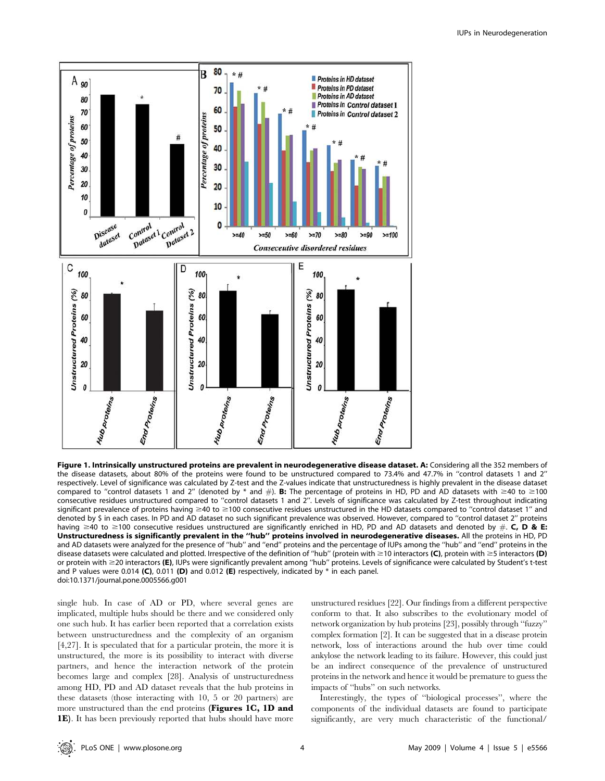

Figure 1. Intrinsically unstructured proteins are prevalent in neurodegenerative disease dataset. A: Considering all the 352 members of the disease datasets, about 80% of the proteins were found to be unstructured compared to 73.4% and 47.7% in ''control datasets 1 and 2'' respectively. Level of significance was calculated by Z-test and the Z-values indicate that unstructuredness is highly prevalent in the disease dataset compared to "control datasets 1 and 2" (denoted by \* and #). **B:** The percentage of proteins in HD, PD and AD datasets with  $\geq$ 40 to  $\geq$ 100 consecutive residues unstructured compared to ''control datasets 1 and 2''. Levels of significance was calculated by Z-test throughout indicating significant prevalence of proteins having ≥40 to ≥100 consecutive residues unstructured in the HD datasets compared to "control dataset 1" and denoted by \$ in each cases. In PD and AD dataset no such significant prevalence was observed. However, compared to "control dataset 2" proteins having  $\geq 40$  to  $\geq 100$  consecutive residues unstructured are significantly enriched in HD, PD and AD datasets and denoted by #. **C, D & E:** Unstructuredness is significantly prevalent in the ''hub'' proteins involved in neurodegenerative diseases. All the proteins in HD, PD and AD datasets were analyzed for the presence of ''hub'' and ''end'' proteins and the percentage of IUPs among the ''hub'' and ''end'' proteins in the disease datasets were calculated and plotted. Irrespective of the definition of "hub" (protein with  $\geq$  10 interactors (C), protein with  $\geq$  5 interactors (D) or protein with  $\geq$ 20 interactors (E), IUPs were significantly prevalent among "hub" proteins. Levels of significance were calculated by Student's t-test and P values were 0.014 (C), 0.011 (D) and 0.012 (E) respectively, indicated by \* in each panel. doi:10.1371/journal.pone.0005566.g001

single hub. In case of AD or PD, where several genes are implicated, multiple hubs should be there and we considered only one such hub. It has earlier been reported that a correlation exists between unstructuredness and the complexity of an organism [4,27]. It is speculated that for a particular protein, the more it is unstructured, the more is its possibility to interact with diverse partners, and hence the interaction network of the protein becomes large and complex [28]. Analysis of unstructuredness among HD, PD and AD dataset reveals that the hub proteins in these datasets (those interacting with 10, 5 or 20 partners) are more unstructured than the end proteins (Figures 1C, 1D and 1E). It has been previously reported that hubs should have more

unstructured residues [22]. Our findings from a different perspective conform to that. It also subscribes to the evolutionary model of network organization by hub proteins [23], possibly through ''fuzzy'' complex formation [2]. It can be suggested that in a disease protein network, loss of interactions around the hub over time could ankylose the network leading to its failure. However, this could just be an indirect consequence of the prevalence of unstructured proteins in the network and hence it would be premature to guess the impacts of ''hubs'' on such networks.

Interestingly, the types of ''biological processes'', where the components of the individual datasets are found to participate significantly, are very much characteristic of the functional/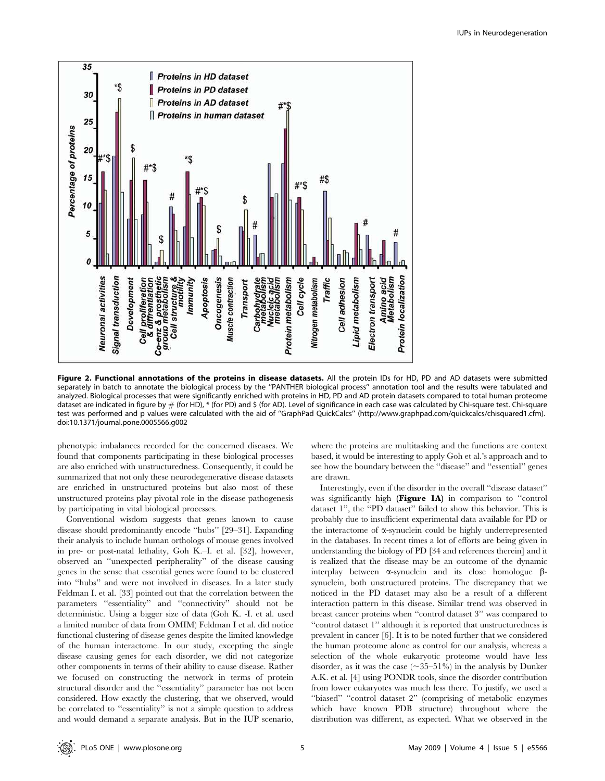

Figure 2. Functional annotations of the proteins in disease datasets. All the protein IDs for HD, PD and AD datasets were submitted separately in batch to annotate the biological process by the ''PANTHER biological process'' annotation tool and the results were tabulated and analyzed. Biological processes that were significantly enriched with proteins in HD, PD and AD protein datasets compared to total human proteome dataset are indicated in figure by  $#$  (for HD),  $*$  (for PD) and \$ (for AD). Level of significance in each case was calculated by Chi-square test. Chi-square test was performed and p values were calculated with the aid of ''GraphPad QuickCalcs'' (http://www.graphpad.com/quickcalcs/chisquared1.cfm). doi:10.1371/journal.pone.0005566.g002

phenotypic imbalances recorded for the concerned diseases. We found that components participating in these biological processes are also enriched with unstructuredness. Consequently, it could be summarized that not only these neurodegenerative disease datasets are enriched in unstructured proteins but also most of these unstructured proteins play pivotal role in the disease pathogenesis by participating in vital biological processes.

Conventional wisdom suggests that genes known to cause disease should predominantly encode ''hubs'' [29–31]. Expanding their analysis to include human orthologs of mouse genes involved in pre- or post-natal lethality, Goh K.–I. et al. [32], however, observed an ''unexpected peripherality'' of the disease causing genes in the sense that essential genes were found to be clustered into ''hubs'' and were not involved in diseases. In a later study Feldman I. et al. [33] pointed out that the correlation between the parameters ''essentiality'' and ''connectivity'' should not be deterministic. Using a bigger size of data (Goh K. -I. et al. used a limited number of data from OMIM) Feldman I et al. did notice functional clustering of disease genes despite the limited knowledge of the human interactome. In our study, excepting the single disease causing genes for each disorder, we did not categorize other components in terms of their ability to cause disease. Rather we focused on constructing the network in terms of protein structural disorder and the ''essentiality'' parameter has not been considered. How exactly the clustering, that we observed, would be correlated to ''essentiality'' is not a simple question to address and would demand a separate analysis. But in the IUP scenario, where the proteins are multitasking and the functions are context based, it would be interesting to apply Goh et al.'s approach and to see how the boundary between the ''disease'' and ''essential'' genes are drawn.

Interestingly, even if the disorder in the overall ''disease dataset'' was significantly high (Figure 1A) in comparison to "control dataset 1'', the ''PD dataset'' failed to show this behavior. This is probably due to insufficient experimental data available for PD or the interactome of  $\alpha$ -synuclein could be highly underrepresented in the databases. In recent times a lot of efforts are being given in understanding the biology of PD [34 and references therein] and it is realized that the disease may be an outcome of the dynamic interplay between  $\alpha$ -synuclein and its close homologue  $\beta$ synuclein, both unstructured proteins. The discrepancy that we noticed in the PD dataset may also be a result of a different interaction pattern in this disease. Similar trend was observed in breast cancer proteins when ''control dataset 3'' was compared to ''control dataset 1'' although it is reported that unstructuredness is prevalent in cancer [6]. It is to be noted further that we considered the human proteome alone as control for our analysis, whereas a selection of the whole eukaryotic proteome would have less disorder, as it was the case  $(\sim 35-51\%)$  in the analysis by Dunker A.K. et al. [4] using PONDR tools, since the disorder contribution from lower eukaryotes was much less there. To justify, we used a ''biased'' ''control dataset 2'' (comprising of metabolic enzymes which have known PDB structure) throughout where the distribution was different, as expected. What we observed in the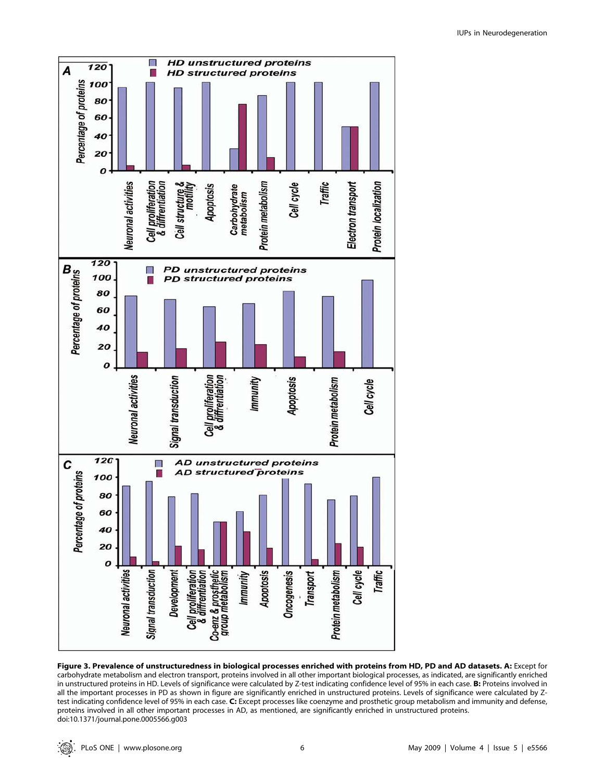

Figure 3. Prevalence of unstructuredness in biological processes enriched with proteins from HD, PD and AD datasets. A: Except for carbohydrate metabolism and electron transport, proteins involved in all other important biological processes, as indicated, are significantly enriched in unstructured proteins in HD. Levels of significance were calculated by Z-test indicating confidence level of 95% in each case. B: Proteins involved in all the important processes in PD as shown in figure are significantly enriched in unstructured proteins. Levels of significance were calculated by Ztest indicating confidence level of 95% in each case. C: Except processes like coenzyme and prosthetic group metabolism and immunity and defense, proteins involved in all other important processes in AD, as mentioned, are significantly enriched in unstructured proteins. doi:10.1371/journal.pone.0005566.g003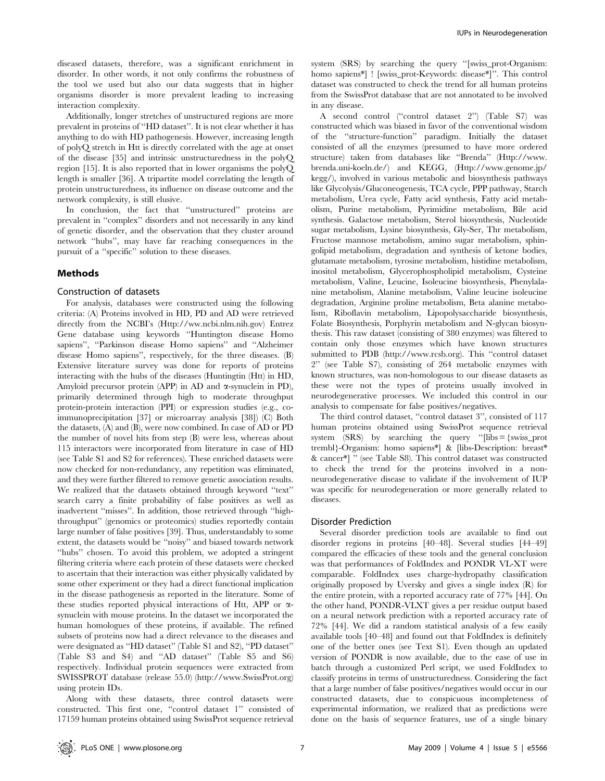diseased datasets, therefore, was a significant enrichment in disorder. In other words, it not only confirms the robustness of the tool we used but also our data suggests that in higher organisms disorder is more prevalent leading to increasing interaction complexity.

Additionally, longer stretches of unstructured regions are more prevalent in proteins of ''HD dataset''. It is not clear whether it has anything to do with HD pathogenesis. However, increasing length of polyQ stretch in Htt is directly correlated with the age at onset of the disease [35] and intrinsic unstructuredness in the polyQ region [15]. It is also reported that in lower organisms the polyQ length is smaller [36]. A tripartite model correlating the length of protein unstructuredness, its influence on disease outcome and the network complexity, is still elusive.

In conclusion, the fact that ''unstructured'' proteins are prevalent in ''complex'' disorders and not necessarily in any kind of genetic disorder, and the observation that they cluster around network ''hubs'', may have far reaching consequences in the pursuit of a ''specific'' solution to these diseases.

#### Methods

#### Construction of datasets

For analysis, databases were constructed using the following criteria: (A) Proteins involved in HD, PD and AD were retrieved directly from the NCBI's (Http://ww.ncbi.nlm.nih.gov) Entrez Gene database using keywords ''Huntington disease Homo sapiens'', ''Parkinson disease Homo sapiens'' and ''Alzheimer disease Homo sapiens'', respectively, for the three diseases. (B) Extensive literature survey was done for reports of proteins interacting with the hubs of the diseases (Huntingtin (Htt) in HD, Amyloid precursor protein (APP) in AD and  $\alpha$ -synuclein in PD), primarily determined through high to moderate throughput protein-protein interaction (PPI) or expression studies (e.g., coimmunoprecipitation [37] or microarray analysis [38]) (C) Both the datasets, (A) and (B), were now combined. In case of AD or PD the number of novel hits from step (B) were less, whereas about 115 interactors were incorporated from literature in case of HD (see Table S1 and S2 for references). These enriched datasets were now checked for non-redundancy, any repetition was eliminated, and they were further filtered to remove genetic association results. We realized that the datasets obtained through keyword ''text'' search carry a finite probability of false positives as well as inadvertent ''misses''. In addition, those retrieved through ''highthroughput'' (genomics or proteomics) studies reportedly contain large number of false positives [39]. Thus, understandably to some extent, the datasets would be ''noisy'' and biased towards network ''hubs'' chosen. To avoid this problem, we adopted a stringent filtering criteria where each protein of these datasets were checked to ascertain that their interaction was either physically validated by some other experiment or they had a direct functional implication in the disease pathogenesis as reported in the literature. Some of these studies reported physical interactions of Htt, APP or asynuclein with mouse proteins. In the dataset we incorporated the human homologues of these proteins, if available. The refined subsets of proteins now had a direct relevance to the diseases and were designated as ''HD dataset'' (Table S1 and S2), ''PD dataset'' (Table S3 and S4) and ''AD dataset'' (Table S5 and S6) respectively. Individual protein sequences were extracted from SWISSPROT database (release 55.0) (http://www.SwissProt.org) using protein IDs.

Along with these datasets, three control datasets were constructed. This first one, ''control dataset 1'' consisted of 17159 human proteins obtained using SwissProt sequence retrieval

system (SRS) by searching the query ''[swiss\_prot-Organism: homo sapiens\*] ! [swiss\_prot-Keywords: disease\*]''. This control dataset was constructed to check the trend for all human proteins from the SwissProt database that are not annotated to be involved in any disease.

A second control (''control dataset 2'') (Table S7) was constructed which was biased in favor of the conventional wisdom of the ''structure-function'' paradigm. Initially the dataset consisted of all the enzymes (presumed to have more ordered structure) taken from databases like ''Brenda'' (Http://www. brenda.uni-koeln.de/) and KEGG, (Http://www.genome.jp/ kegg/), involved in various metabolic and biosynthesis pathways like Glycolysis/Gluconeogenesis, TCA cycle, PPP pathway, Starch metabolism, Urea cycle, Fatty acid synthesis, Fatty acid metabolism, Purine metabolism, Pyrimidine metabolism, Bile acid synthesis. Galactose metabolism, Sterol biosynthesis, Nucleotide sugar metabolism, Lysine biosynthesis, Gly-Ser, Thr metabolism, Fructose mannose metabolism, amino sugar metabolism, sphingolipid metabolism, degradation and synthesis of ketone bodies, glutamate metabolism, tyrosine metabolism, histidine metabolism, inositol metabolism, Glycerophospholipid metabolism, Cysteine metabolism, Valine, Leucine, Isoleucine biosynthesis, Phenylalanine metabolism, Alanine metabolism, Valine leucine isoleucine degradation, Arginine proline metabolism, Beta alanine metabolism, Riboflavin metabolism, Lipopolysaccharide biosynthesis, Folate Biosynthesis, Porphyrin metabolism and N-glycan biosynthesis. This raw dataset (consisting of 380 enzymes) was filtered to contain only those enzymes which have known structures submitted to PDB (http://www.rcsb.org). This ''control dataset 2'' (see Table S7), consisting of 264 metabolic enzymes with known structures, was non-homologous to our disease datasets as these were not the types of proteins usually involved in neurodegenerative processes. We included this control in our analysis to compensate for false positives/negatives.

The third control dataset, ''control dataset 3'', consisted of 117 human proteins obtained using SwissProt sequence retrieval system  $(SRS)$  by searching the query "[libs = {swiss\_prot trembl}-Organism: homo sapiens\*] & [libs-Description: breast\* & cancer\*] '' (see Table S8). This control dataset was constructed to check the trend for the proteins involved in a nonneurodegenerative disease to validate if the involvement of IUP was specific for neurodegeneration or more generally related to diseases.

#### Disorder Prediction

Several disorder prediction tools are available to find out disorder regions in proteins [40–48]. Several studies [44–49] compared the efficacies of these tools and the general conclusion was that performances of FoldIndex and PONDR VL-XT were comparable. FoldIndex uses charge-hydropathy classification originally proposed by Uversky and gives a single index (R) for the entire protein, with a reported accuracy rate of 77% [44]. On the other hand, PONDR-VLXT gives a per residue output based on a neural network prediction with a reported accuracy rate of 72% [44]. We did a random statistical analysis of a few easily available tools [40–48] and found out that FoldIndex is definitely one of the better ones (see Text S1). Even though an updated version of PONDR is now available, due to the ease of use in batch through a customized Perl script, we used FoldIndex to classify proteins in terms of unstructuredness. Considering the fact that a large number of false positives/negatives would occur in our constructed datasets, due to conspicuous incompleteness of experimental information, we realized that as predictions were done on the basis of sequence features, use of a single binary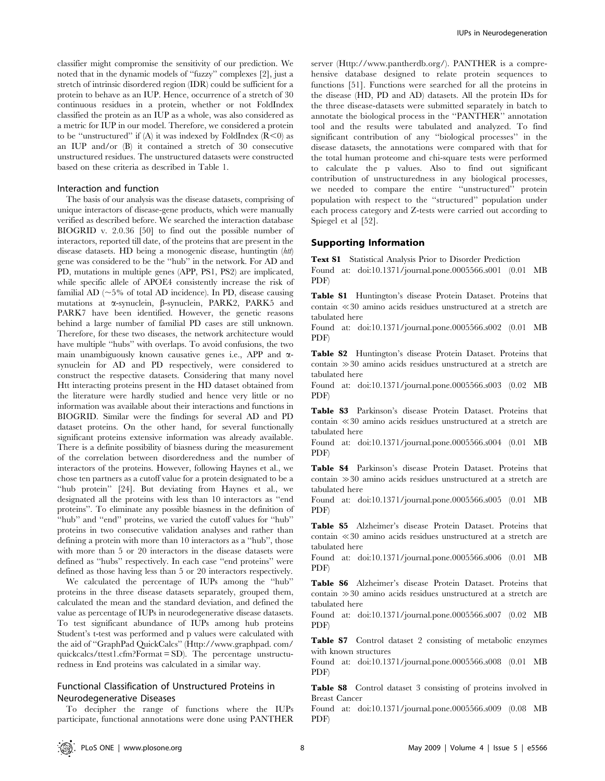classifier might compromise the sensitivity of our prediction. We noted that in the dynamic models of ''fuzzy'' complexes [2], just a stretch of intrinsic disordered region (IDR) could be sufficient for a protein to behave as an IUP. Hence, occurrence of a stretch of 30 continuous residues in a protein, whether or not FoldIndex classified the protein as an IUP as a whole, was also considered as a metric for IUP in our model. Therefore, we considered a protein to be "unstructured" if (A) it was indexed by FoldIndex  $(R<0)$  as an IUP and/or (B) it contained a stretch of 30 consecutive unstructured residues. The unstructured datasets were constructed based on these criteria as described in Table 1.

#### Interaction and function

The basis of our analysis was the disease datasets, comprising of unique interactors of disease-gene products, which were manually verified as described before. We searched the interaction database BIOGRID v. 2.0.36 [50] to find out the possible number of interactors, reported till date, of the proteins that are present in the disease datasets. HD being a monogenic disease, huntingtin (htt) gene was considered to be the ''hub'' in the network. For AD and PD, mutations in multiple genes (APP, PS1, PS2) are implicated, while specific allele of APOE4 consistently increase the risk of familial AD  $(\sim 5\%$  of total AD incidence). In PD, disease causing mutations at a-synuclein, b-synuclein, PARK2, PARK5 and PARK7 have been identified. However, the genetic reasons behind a large number of familial PD cases are still unknown. Therefore, for these two diseases, the network architecture would have multiple ''hubs'' with overlaps. To avoid confusions, the two main unambiguously known causative genes i.e., APP and  $\alpha$ synuclein for AD and PD respectively, were considered to construct the respective datasets. Considering that many novel Htt interacting proteins present in the HD dataset obtained from the literature were hardly studied and hence very little or no information was available about their interactions and functions in BIOGRID. Similar were the findings for several AD and PD dataset proteins. On the other hand, for several functionally significant proteins extensive information was already available. There is a definite possibility of biasness during the measurement of the correlation between disorderedness and the number of interactors of the proteins. However, following Haynes et al., we chose ten partners as a cutoff value for a protein designated to be a ''hub protein'' [24]. But deviating from Haynes et al., we designated all the proteins with less than 10 interactors as ''end proteins''. To eliminate any possible biasness in the definition of ''hub'' and ''end'' proteins, we varied the cutoff values for ''hub'' proteins in two consecutive validation analyses and rather than defining a protein with more than 10 interactors as a ''hub'', those with more than 5 or 20 interactors in the disease datasets were defined as ''hubs'' respectively. In each case ''end proteins'' were defined as those having less than 5 or 20 interactors respectively.

We calculated the percentage of IUPs among the ''hub'' proteins in the three disease datasets separately, grouped them, calculated the mean and the standard deviation, and defined the value as percentage of IUPs in neurodegenerative disease datasets. To test significant abundance of IUPs among hub proteins Student's t-test was performed and p values were calculated with the aid of ''GraphPad QuickCalcs'' (Http://www.graphpad. com/ quickcalcs/ttest1.cfm?Format = SD). The percentage unstructuredness in End proteins was calculated in a similar way.

#### Functional Classification of Unstructured Proteins in Neurodegenerative Diseases

To decipher the range of functions where the IUPs participate, functional annotations were done using PANTHER

server (Http://www.pantherdb.org/). PANTHER is a comprehensive database designed to relate protein sequences to functions [51]. Functions were searched for all the proteins in the disease (HD, PD and AD) datasets. All the protein IDs for the three disease-datasets were submitted separately in batch to annotate the biological process in the ''PANTHER'' annotation tool and the results were tabulated and analyzed. To find significant contribution of any ''biological processes'' in the disease datasets, the annotations were compared with that for the total human proteome and chi-square tests were performed to calculate the p values. Also to find out significant contribution of unstructuredness in any biological processes, we needed to compare the entire ''unstructured'' protein population with respect to the ''structured'' population under each process category and Z-tests were carried out according to Spiegel et al [52].

# Supporting Information

Text S1 Statistical Analysis Prior to Disorder Prediction

Found at: doi:10.1371/journal.pone.0005566.s001 (0.01 MB PDF)

Table S1 Huntington's disease Protein Dataset. Proteins that contain %30 amino acids residues unstructured at a stretch are tabulated here

Found at: doi:10.1371/journal.pone.0005566.s002 (0.01 MB PDF)

Table S2 Huntington's disease Protein Dataset. Proteins that contain  $\gg$ 30 amino acids residues unstructured at a stretch are tabulated here

Found at: doi:10.1371/journal.pone.0005566.s003 (0.02 MB PDF)

Table S3 Parkinson's disease Protein Dataset. Proteins that contain %30 amino acids residues unstructured at a stretch are tabulated here

Found at: doi:10.1371/journal.pone.0005566.s004 (0.01 MB PDF)

Table S4 Parkinson's disease Protein Dataset. Proteins that contain  $\gg$ 30 amino acids residues unstructured at a stretch are tabulated here

Found at: doi:10.1371/journal.pone.0005566.s005 (0.01 MB PDF)

Table S5 Alzheimer's disease Protein Dataset. Proteins that contain %30 amino acids residues unstructured at a stretch are tabulated here

Found at: doi:10.1371/journal.pone.0005566.s006 (0.01 MB PDF)

Table S6 Alzheimer's disease Protein Dataset. Proteins that contain  $\gg$ 30 amino acids residues unstructured at a stretch are tabulated here

Found at: doi:10.1371/journal.pone.0005566.s007 (0.02 MB PDF)

Table S7 Control dataset 2 consisting of metabolic enzymes with known structures

Found at: doi:10.1371/journal.pone.0005566.s008 (0.01 MB PDF)

Table S8 Control dataset 3 consisting of proteins involved in Breast Cancer

Found at: doi:10.1371/journal.pone.0005566.s009 (0.08 MB PDF)